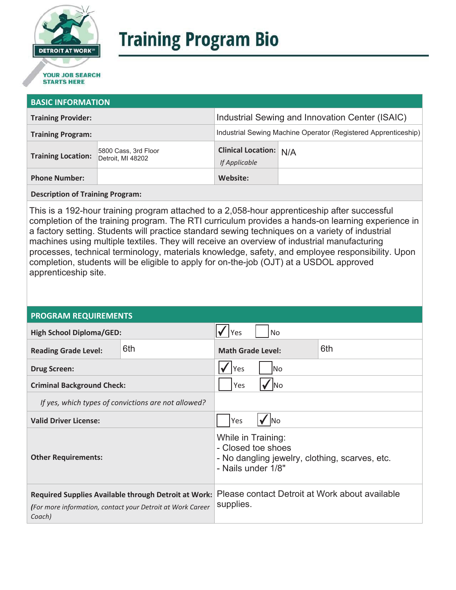

# **Training Program Bio**

## **STARTS HERE**

#### **BASIC INFORMATION**

| <b>Training Provider:</b> |                                           | Industrial Sewing and Innovation Center (ISAIC)                |  |  |
|---------------------------|-------------------------------------------|----------------------------------------------------------------|--|--|
| <b>Training Program:</b>  |                                           | Industrial Sewing Machine Operator (Registered Apprenticeship) |  |  |
| <b>Training Location:</b> | 5800 Cass, 3rd Floor<br>Detroit, MI 48202 | <b>Clinical Location: N/A</b><br>If Applicable                 |  |  |
| <b>Phone Number:</b>      |                                           | Website:                                                       |  |  |

**Description of Training Program:** 

This is a 192-hour training program attached to a 2,058-hour apprenticeship after successful completion of the training program. The RTI curriculum provides a hands-on learning experience in a factory setting. Students will practice standard sewing techniques on a variety of industrial machines using multiple textiles. They will receive an overview of industrial manufacturing processes, technical terminology, materials knowledge, safety, and employee responsibility. Upon completion, students will be eligible to apply for on-the-job (OJT) at a USDOL approved apprenticeship site.

#### **PROGRAM REQUIREMENTS**

| <b>High School Diploma/GED:</b>                                                                                              |     | <b>No</b><br>Yes                                                                                                 |  |
|------------------------------------------------------------------------------------------------------------------------------|-----|------------------------------------------------------------------------------------------------------------------|--|
| <b>Reading Grade Level:</b>                                                                                                  | 6th | 6th<br><b>Math Grade Level:</b>                                                                                  |  |
| <b>Drug Screen:</b>                                                                                                          |     | Yes<br>lNo                                                                                                       |  |
| <b>Criminal Background Check:</b>                                                                                            |     | Yes<br><b>INo</b>                                                                                                |  |
| If yes, which types of convictions are not allowed?                                                                          |     |                                                                                                                  |  |
| <b>Valid Driver License:</b>                                                                                                 |     | Yes<br><b>No</b>                                                                                                 |  |
| <b>Other Requirements:</b>                                                                                                   |     | While in Training:<br>- Closed toe shoes<br>- No dangling jewelry, clothing, scarves, etc.<br>- Nails under 1/8" |  |
| Required Supplies Available through Detroit at Work:<br>(For more information, contact your Detroit at Work Career<br>Coach) |     | Please contact Detroit at Work about available<br>supplies.                                                      |  |